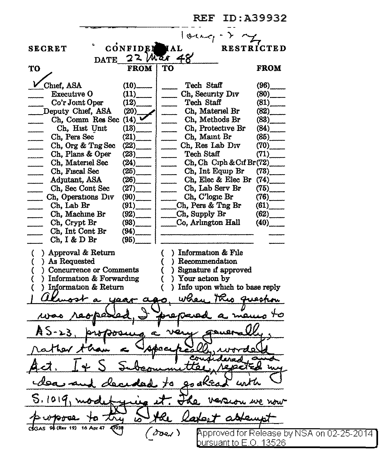REF ID:A39932  $|$  occa $\epsilon$  -CONFIDER IAL RESTRICTED SECRET DATE  $22$  War  $48'$ TO FROM TO FROM TO ~1ef, ASA (10)\_ Tech Staff (96)\_ = Executive 0 (11)\_ \_ Ch, Security Div (80)\_ Executive O  $(11)$  Ch, Security Div  $(80)$ <br>Co'r Joint Oper  $(12)$  Tech Staff  $(81)$ <br>eputy Chief, ASA  $(20)$  Ch, Materiel Br  $(82)$ Deputy Chief, ASA Ch, Comm Res Sec  $(14)$  V  $\longrightarrow$  Ch, Methods Br (83)<br>Ch, Hist Unit (13) Ch, Protective Br (84) Ch, Protective Br Ch, Pers Sec  $(21)$  Ch, Maint Br  $(85)$ <br>Ch, Org & Tng Sec  $(22)$  Ch, Res Lab Div  $(70)$ Ch, Org & Tng Sec  $(22)$  Ch, Res Lab Div  $(70)$ <br>Ch, Plans & Oper  $(23)$  Tech Staff  $(71)$ Ch, Plans & Oper<br>Ch, Materiel Sec Ch, Materiel Sec  $(24)$  Ch, Ch Ciph & Cif Br(72)<sub>.</sub><br>Ch, Fiscal Sec  $(25)$  Ch, Int Equip Br (73). Ch, Fiscal Sec  $(25)$  Ch, Int Equip Br<br>Adjutant, ASA  $(26)$  Ch, Elec & Elec I  $\begin{array}{c|c}\n(26) & \text{Ch. Elec & Elec Br (74)} \\
(27) & \text{Ch. Lab Serv Br} (75)\n\end{array}$ Ch, Sec Cont Sec  $(27)$  \_\_\_\_\_\_ Ch, Lab Serv 1<br>Ch, Operations Div  $(90)$  Ch, C'logic Br Ch, Operations Div  $(90)$  Ch, C'logic Br  $(76)$ <br>Ch, Lab Br  $(91)$  Ch, Pers & Tng Br  $(61)$ (91)  $\begin{array}{|c|c|c|c|c|}\n\hline\n\text{(92)} & \text{Ch, Pers & Trg Br} \text{(61)} \\
\hline\n\text{Ch, Supply Br} & \text{(62)}\n\end{array}$ Ch, Machine Br (92)<br>Ch, Crypt Br  $(93)$   $\qquad$   $\qquad$   $\qquad$   $\qquad$   $\qquad$   $\qquad$   $\qquad$   $\qquad$   $\qquad$   $\qquad$   $\qquad$   $\qquad$   $\qquad$   $\qquad$   $\qquad$   $\qquad$   $\qquad$   $\qquad$   $\qquad$   $\qquad$   $\qquad$   $\qquad$   $\qquad$   $\qquad$   $\qquad$   $\qquad$   $\qquad$   $\qquad$   $\qquad$   $\qquad$   $\qquad$   $\qquad$   $\qquad$   $\qquad$   $\qquad$   $\qquad$ Ch, Int Cont Br Ch, I & D Br (95) ( ) Approval & Return ( ) Information & File ( ) As Requested ( ) Recommendation<br>( ) Concurrence or Comments ( ) Signature if approved ( ) Concurrence or Comments ( ) Signature if approximation & Forwarding ( ) Your action by ( ) Information  $&$  Forwarding ( ) ) Information & Return ( ) Info upon which to base reply 1 Almost a year ago, when this queston was reoposed, I prepared a memo to A J-25. Ψo 41 ure wrv  $12)$ 16 Apr 47  $\delta$ der) pproved for Release by NSA on 02-25-2014 bursuant to E.O. 13526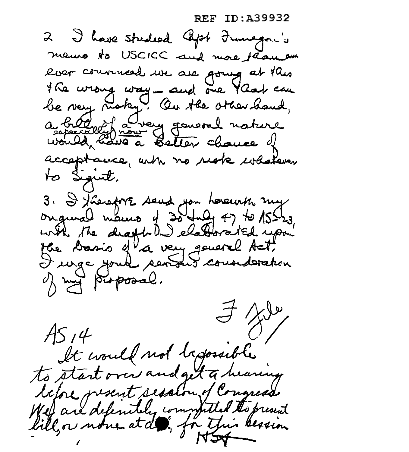ID:A39932 REF

I have studied left Francis memo to USCICC and more than on lier courred we are going at this the wrong way - and one York can be very risky. On the other hand, a bild of a very governed nature acceptance, with no reak whatever to Siguit, 3. I therefore send you hereurth my onqueal mours of 30 fully 47 to 15hrs. with the death DJ elaborated upon the Dasis of a very goveral Act! I unge your sending counderation of my proposal.  $AS14$ It would not trepossible to start over and get a hearing before present session of Congress Well are defendely completed the present bill, or none at de, for this bession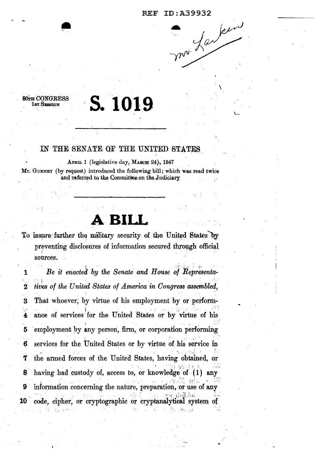ma farlein

#### **80TH CONGRESS** 1st SESSION

# S. 1019

## IN THE SENATE OF THE UNITED STATES

APRIL 1 (legislative day, MARCH 24), 1947 Mr. GURNEY (by request) introduced the following bill; which was read twice and referred to the Committee on the Judiciary

To insure further the military security of the United States by preventing disclosures of information secured through official sources.

Be it enacted by the Senate and House of Representa- $\mathbf{1}$ tives of the United States of America in Congress assembled,  $\bf{2}$ That whoever, by virtue of his employment by or perform-3 ance of services for the United States or by virtue of his 4 employment by any person, firm, or corporation performing 5 services for the United States or by virtue of his service in 6 7 the armed forces of the United States, having obtained, or having had custody of, access to, or knowledge of (1) any 8 9 information concerning the nature, preparation, or use of any code, cipher, or cryptographic or cryptanalytical system of **10**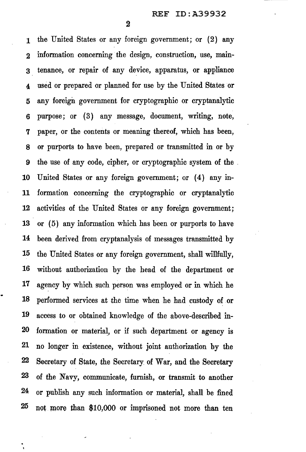2

1 the United States or any foreign government; or (2) any 2 information concerning the design, construction, use, main-3 tenance, or repair of any device, apparatus, or appliance 4 used or prepared or planned for use by the United States or 5 any foreign government for cryptographic or cryptanalytic 6 purpose; or ( 3) any message, document, writing, note, 7 paper, or the contents or meaning thereof, which has been, 8 or purports to have been, prepared or transmitted in or by 9 the use of any code, cipher, or cryptographic system of the . 10 United States or any foreign government; or (4) any in-11 formation concerning the cryptographic or cryptanalytic 12 activities of the United States or any foreign government; 13 or (5) any information which has been or purports to have 14 been derived from cryptanalysis of messages transmitted by 15 the United States or any foreign government, shall willfully, 16 without authorization by the head of the department or 17 agency by which such person was employed or in which he 18 performed services at the time when he had custody of or 19 access to or obtained knowledge of the above-described in-20 formation or materia1, or if such department or agency is 21 no longer in existence, without joint authorization by the 22 Secretary of State, the Secretary of War, and the Secretary 23 of the Navy, communicate, furnish, or transmit to another 24 or publish any such information or material, shall be fined 25 not more than \$10,000 or imprisoned not more than ten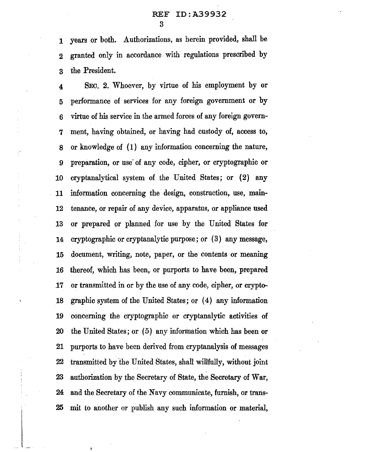### REF ID:A39932 3

1 years or both. Authorizations, as herein provided, shall be 2 granted only in accordance with regulations prescribed by 3 the President.

4 SEC. 2. Whoever, by virtue of his employment by or 5 performance of services for any foreign government or by 6 virtue of his service in the armed forces of any foreign govern-7 ment, having obtained, or having had custody of, access to, 8 or knowledge of ( 1) any information concerning the nature, 9 preparation, or use' of any code, cipher, or cryptographic or 10 cryptanalytical system of the United States; or { 2) any 11 information concerning the design, construction, use, main-12 tenance, or repair of any device, apparatus, or appliance used 13 or prepared or planned for use by the United States for 14 cryptographic or cryptanalytic purpose; or (3) any message, 15 document, writing, note, paper, or the contents or meaning 16 thereof, which has been, or purports to have been, prepared 17 or transmitted in or by the use of any code, cipher, or crypto-18 graphic system of the United States; or (4) any information 19 concerning the cryptographic or cryptanalytic activities of 20 the United States; or (5) any information which has been or 21 purports to have been derived from cryptanalysis of messages 22 transmitted by 'the United States, shall willfully, without joint 23 authorization by the Secretary of State, the Secretary of War, 24 and the Secretary of the Navy communicate, furnish, or trans-25 mit to another or publish any such information or material,

 $\frac{1}{2}$ 

 $\frac{1}{2}$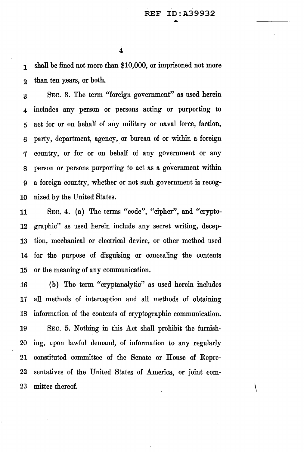4

1 shall be fined not more than \$10,000, or imprisoned not more 2 than ten years, or both.

3 SEO. 3. The term "foreign government" as used herein 4 includes any person or persons acting or purporting to 5 act for or on behalf of any military or naval force, faction, 6 party, department, agency, or bureau of or within a foreign 7 country, or for or on behalf of any government or any s person or persons purporting to act as a government within 9 a foreign country, whether or not such government is recog-10 nized by the United States.

11 SEO. 4. (a) The terms "code", "cipher", and "crypto-12 graphic" as used herein include any secret writing, decep-13 tion, mechanical or electrical device, or other method used 14 for the purpose of disguising or concealing the contents 15 or the meaning of any communication.

16 (b) The term "cryptanalytic" as used herein includes 17 all methods of interception and all methods of obtaining 18 information of the contents of cryptographic communication. 19 SEO. 5. Nothing in this Act shall prohibit the furnish-20 ing, upon lawful demand, of information to any regularly 21 constituted committee of the Senate or House of Repre-22 sentatives of the United States of America, or joint com-23 mittee thereof.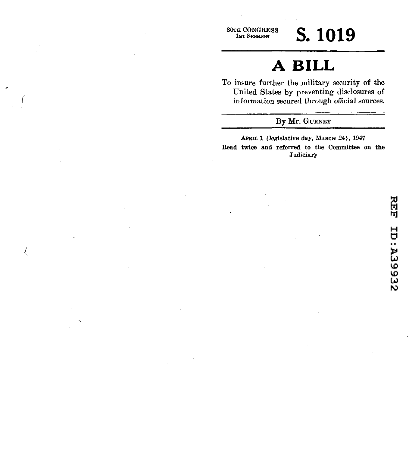(

 $\sqrt{ }$ 

## **80TH CONGRESS S. 1019**

## **A BILL**

To insure further the military security of the United States by preventing disclosures of information secured through official sources.

#### By Mr. GURNEY

APBIL 1 (legislative day, MARCH 24), 1947 Read twice and referred to the Committee on the **Judiciary**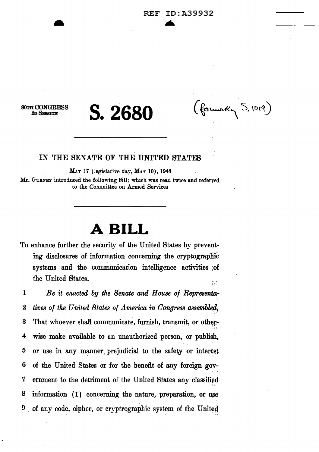*BOTH* CONGRESS 2D SESSION

**S.2680** 

(formody S, 1019)

#### IN THE SENATE OF THE UNITED STATES

MAY 17 (legislative day, MAY 10), 1948

Mr. GURNEY introduced the following bill; which was read twice and referred to the Committee on Armed Services

## **A BILL**

To enhance further the security of the United States by preventing disclosures of information concerning the cryptographic systems and the communication intelligence activities of the United States.  $\mathbb{R}^n$ 

1 Be it enacted by the Senate and House of Representa-2 *tives of the United States of America in Congress assembled,* 3 That whoever shall communicate, furnish, transmit, or other-'·.· = 4 wise make available to an unauthorized person, or publish, 5 or use in any manner prejudicial to the safety or interest 6 of the United States or for the benefit of any foreign gov-7 ernment to the detriment of the United States· any classified  $8$  information  $(1)$  concerning the nature, preparation, or use  $9$  of any code, cipher, or cryptrographic system of the United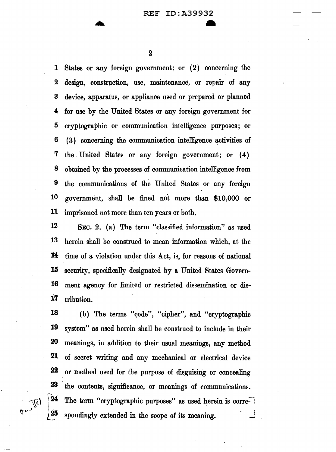2

1 States or any foreign government; or (2) concerning the 2 design, construction, use, maintenance, or repair of any 3 device, apparatus, or appliance used or prepared or planned 4 for use by the United States or any foreign government for 5 cryptographic or communication intelligence purposes; or 6 . ( 3) concerning the communication intelligence activities of 7 the United States or any foreign government; or ( 4) 8 obtained by the processes of communication intelligence from 9 the communications of the United States or any foreign 10 government, shall! be fined not more than \$10,000 or 11 imprisoned not more than ten years or both.

12 SEC. 2. (a) The term "classified information" as used 13 herein shall be construed to mean information which, at the **14:** time of a violation under this Act, is, for reasons of national **15** security, specifically designated by a United States Govern-16 ment agency for limited or restricted dissemination or dis-**17** tribution.

18 (b) The terms "code", "cipher", and "cryptographic **19** system" as used herein shall be construed to include in their 20 meanings, in addition to their usual meanings, any method **21** of secret writing and any mechanical or electrical device 22 or method used for the purpose of disguising or concealing 23 the contents, significance, or meanings of communications.  $24$ The term "cryptographic purposes" as used herein is corre-25 spondingly extended in the scope of its meaning.

**A**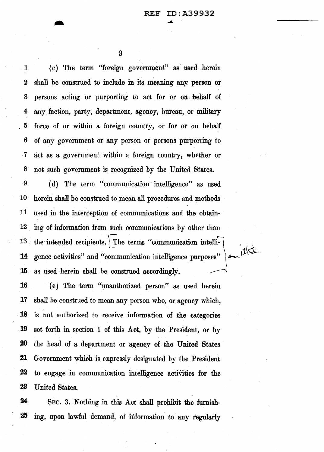1 ( c) The term "foreign government" as· used herein *2* shall be construed to include in its meaning any person or 3 persons acting or purporting to act for or on . behalf of 4 any faction, party, department, agency, bureau, or military 5 force of or within a foreign country, or for or on behalf 6 of any government or any person or persons purporting to · 7 act as a government within a foreign country, whether or 8 not such government is recognized by the United States.

9 ( d) The term "communication· intelligence" as used 10 herein shall he construed to mean all procedures and methods 11 used in the interception of communications and the obtain-12 ing of information from such communications by other than 13 the intended recipients. The terms "communication intelli-<br>14 gence activities" and "communication  $\frac{1}{2}$ ." **14** gence activities" and "communication intelligence purposes" **15** as used herein shall be construed accordingly. -

( e) The term "unauthorized person" as used herein shall be construed to mean any person who, or agency which, is not authorized to receive information of the categories 19 set forth in section 1 of this Act, by the President, or by the head of a department or agency of the United States Government which is expressly designated by the President 22 to engage in communication intelligence activities for the 23 United States.

24 SEC. 3. Nothing in this Act shall prohibit the furnish-25 ing, upon lawful demand, of information to any regularly